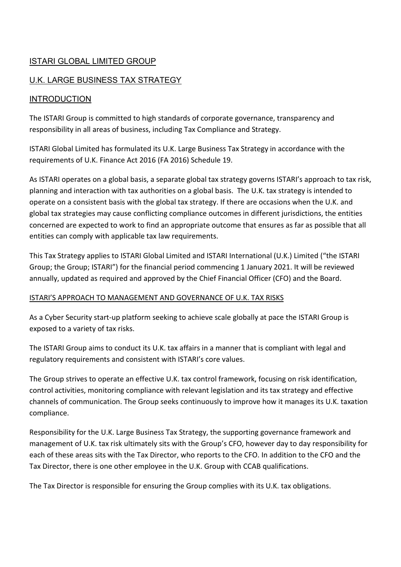# ISTARI GLOBAL LIMITED GROUP

# U.K. LARGE BUSINESS TAX STRATEGY

## INTRODUCTION

The ISTARI Group is committed to high standards of corporate governance, transparency and responsibility in all areas of business, including Tax Compliance and Strategy.

ISTARI Global Limited has formulated its U.K. Large Business Tax Strategy in accordance with the requirements of U.K. Finance Act 2016 (FA 2016) Schedule 19.

As ISTARI operates on a global basis, a separate global tax strategy governs ISTARI's approach to tax risk, planning and interaction with tax authorities on a global basis. The U.K. tax strategy is intended to operate on a consistent basis with the global tax strategy. If there are occasions when the U.K. and global tax strategies may cause conflicting compliance outcomes in different jurisdictions, the entities concerned are expected to work to find an appropriate outcome that ensures as far as possible that all entities can comply with applicable tax law requirements.

This Tax Strategy applies to ISTARI Global Limited and ISTARI International (U.K.) Limited ("the ISTARI Group; the Group; ISTARI") for the financial period commencing 1 January 2021. It will be reviewed annually, updated as required and approved by the Chief Financial Officer (CFO) and the Board.

#### ISTARI'S APPROACH TO MANAGEMENT AND GOVERNANCE OF U.K. TAX RISKS

As a Cyber Security start-up platform seeking to achieve scale globally at pace the ISTARI Group is exposed to a variety of tax risks.

The ISTARI Group aims to conduct its U.K. tax affairs in a manner that is compliant with legal and regulatory requirements and consistent with ISTARI's core values.

The Group strives to operate an effective U.K. tax control framework, focusing on risk identification, control activities, monitoring compliance with relevant legislation and its tax strategy and effective channels of communication. The Group seeks continuously to improve how it manages its U.K. taxation compliance.

Responsibility for the U.K. Large Business Tax Strategy, the supporting governance framework and management of U.K. tax risk ultimately sits with the Group's CFO, however day to day responsibility for each of these areas sits with the Tax Director, who reports to the CFO. In addition to the CFO and the Tax Director, there is one other employee in the U.K. Group with CCAB qualifications.

The Tax Director is responsible for ensuring the Group complies with its U.K. tax obligations.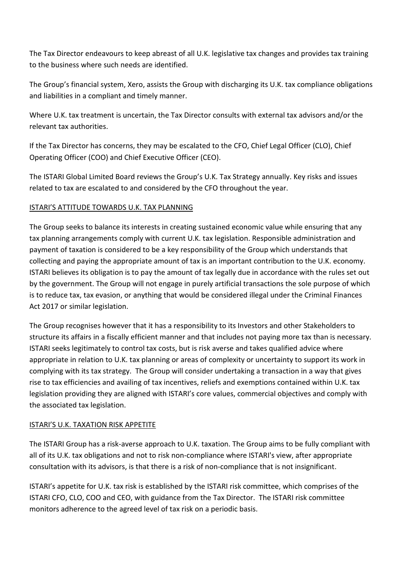The Tax Director endeavours to keep abreast of all U.K. legislative tax changes and provides tax training to the business where such needs are identified.

The Group's financial system, Xero, assists the Group with discharging its U.K. tax compliance obligations and liabilities in a compliant and timely manner.

Where U.K. tax treatment is uncertain, the Tax Director consults with external tax advisors and/or the relevant tax authorities.

If the Tax Director has concerns, they may be escalated to the CFO, Chief Legal Officer (CLO), Chief Operating Officer (COO) and Chief Executive Officer (CEO).

The ISTARI Global Limited Board reviews the Group's U.K. Tax Strategy annually. Key risks and issues related to tax are escalated to and considered by the CFO throughout the year.

### ISTARI'S ATTITUDE TOWARDS U.K. TAX PLANNING

The Group seeks to balance its interests in creating sustained economic value while ensuring that any tax planning arrangements comply with current U.K. tax legislation. Responsible administration and payment of taxation is considered to be a key responsibility of the Group which understands that collecting and paying the appropriate amount of tax is an important contribution to the U.K. economy. ISTARI believes its obligation is to pay the amount of tax legally due in accordance with the rules set out by the government. The Group will not engage in purely artificial transactions the sole purpose of which is to reduce tax, tax evasion, or anything that would be considered illegal under the Criminal Finances Act 2017 or similar legislation.

The Group recognises however that it has a responsibility to its Investors and other Stakeholders to structure its affairs in a fiscally efficient manner and that includes not paying more tax than is necessary. ISTARI seeks legitimately to control tax costs, but is risk averse and takes qualified advice where appropriate in relation to U.K. tax planning or areas of complexity or uncertainty to support its work in complying with its tax strategy. The Group will consider undertaking a transaction in a way that gives rise to tax efficiencies and availing of tax incentives, reliefs and exemptions contained within U.K. tax legislation providing they are aligned with ISTARI's core values, commercial objectives and comply with the associated tax legislation.

#### ISTARI'S U.K. TAXATION RISK APPETITE

The ISTARI Group has a risk-averse approach to U.K. taxation. The Group aims to be fully compliant with all of its U.K. tax obligations and not to risk non-compliance where ISTARI's view, after appropriate consultation with its advisors, is that there is a risk of non-compliance that is not insignificant.

ISTARI's appetite for U.K. tax risk is established by the ISTARI risk committee, which comprises of the ISTARI CFO, CLO, COO and CEO, with guidance from the Tax Director. The ISTARI risk committee monitors adherence to the agreed level of tax risk on a periodic basis.